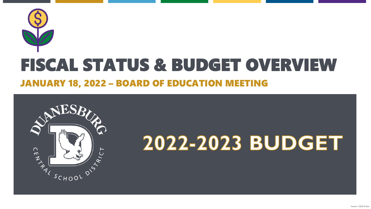



# 2022-2023 BUDGET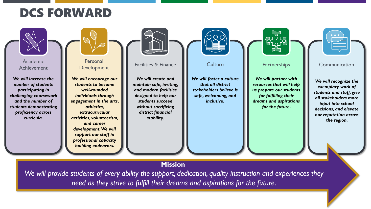### DCS FORWARD



*We will provide students of every ability the support, dedication, quality instruction and experiences they need as they strive to fulfill their dreams and aspirations for the future.*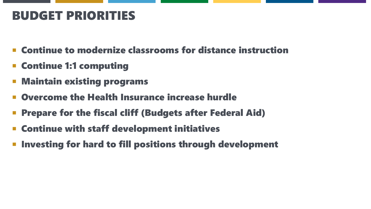### BUDGET PRIORITIES

- Continue to modernize classrooms for distance instruction
- Continue 1:1 computing
- Maintain existing programs
- Overcome the Health Insurance increase hurdle
- Prepare for the fiscal cliff (Budgets after Federal Aid)
- Continue with staff development initiatives
- Investing for hard to fill positions through development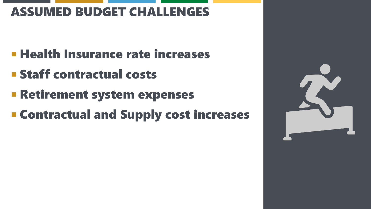### ASSUMED BUDGET CHALLENGES

- **E Health Insurance rate increases**
- **E** Staff contractual costs
- **Exercisement system expenses**
- **E Contractual and Supply cost increases**

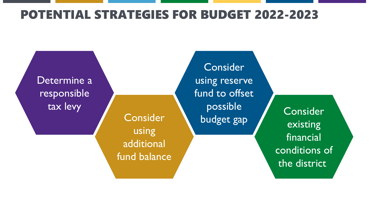### POTENTIAL STRATEGIES FOR BUDGET 2022-2023

Determine a responsible tax levy

**Consider** using additional fund balance

Consider using reserve fund to offset possible budget gap

**Consider** existing financial conditions of the district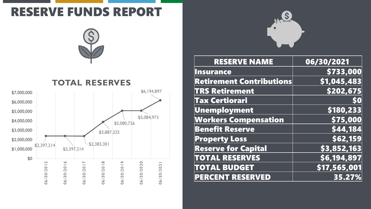### RESERVE FUNDS REPORT







| <b>RESERVE NAME</b>             | 06/30/2021   |
|---------------------------------|--------------|
| <b>Insurance</b>                | \$733,000    |
| <b>Retirement Contributions</b> | \$1,045,483  |
| <b>TRS Retirement</b>           | \$202,675    |
| <b>Tax Certiorari</b>           | 50           |
| Unemployment                    | \$180,233    |
| <b>Workers Compensation</b>     | \$75,000     |
| <b>Benefit Reserve</b>          | \$44,184     |
| <b>Property Loss</b>            | \$62,159     |
| <b>Reserve for Capital</b>      | \$3,852,163  |
| <b>TOTAL RESERVES</b>           | \$6,194,897  |
| <b>TOTAL BUDGET</b>             | \$17,565,001 |
| <b>PERCENT RESERVED</b>         | 35.27%       |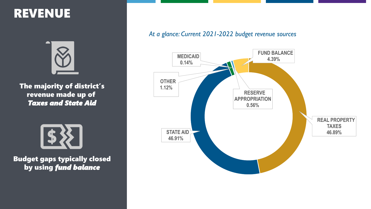### REVENUE



The majority of district's revenue made up of *Taxes and State Aid*



Budget gaps typically closed by using *fund balance*

### *At a glance: Current 2021-2022 budget revenue sources*

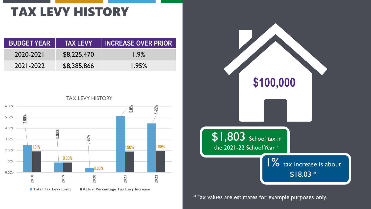## TAX LEVY HISTORY

| <b>BUDGET YEAR</b> | <b>TAX LEVY!</b> | <b>INCREASE OVER PRIOR</b> |
|--------------------|------------------|----------------------------|
| 2020-2021          | \$8,225,470      | 1.9%                       |
| 2021-2022          | \$8,385,866      | 1.95%                      |

TAX LEVY HISTORY





\* Tax values are estimates for example purposes only.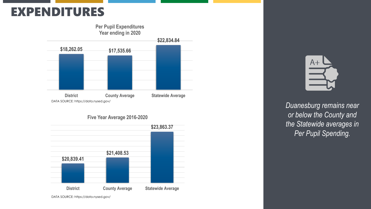### EXPENDITURES



#### **Five Year Average 2016-2020**



 $A+$ 

*Duanesburg remains near or below the County and the Statewide averages in Per Pupil Spending.*

DATA SOURCE: https://data.nysed.gov/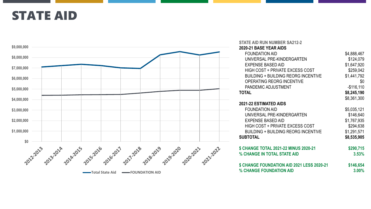### STATE AID

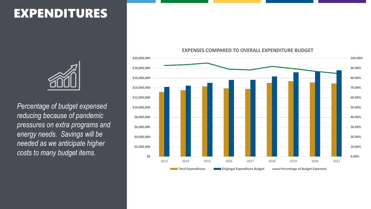### EXPENDITURES



*Percentage of budget expensed reducing because of pandemic pressures on extra programs and energy needs. Savings will be needed as we anticipate higher costs to many budget items.*

#### **0.00% 10.00% 20.00% 30.00% 40.00% 50.00% 60.00% 70.00% 80.00% 90.00% 100.00% \$0 \$2,000,000 \$4,000,000 \$6,000,000 \$8,000,000 \$10,000,000 \$12,000,000 \$14,000,000 \$16,000,000 \$18,000,000 \$20,000,000** 2013 2014 2015 2016 2017 2018 2019 2020 2021

**Total Expenditures The Percentage of Budget Expenditure Budget Percentage of Budget Expensed** 

#### **EXPENSES COMPARED TO OVERALL EXPENDITURE BUDGET**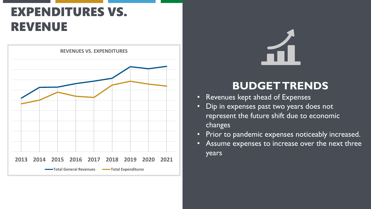## EXPENDITURES VS. REVENUE



### **BUDGET TRENDS**

- Revenues kept ahead of Expenses
- Dip in expenses past two years does not represent the future shift due to economic changes
- Prior to pandemic expenses noticeably increased.
- Assume expenses to increase over the next three years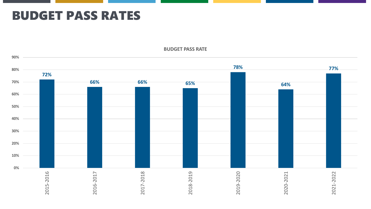### BUDGET PASS RATES



**BUDGET PASS RATE**